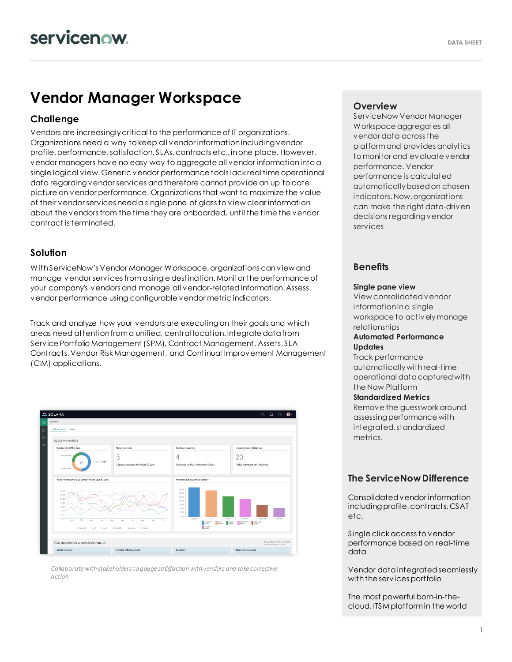# **Vendor Manager Workspace**

### **Challenge**

Vendors are increasingly critical to the performance of IT organizations. Organizations need a way to keep all vendor information including vendor profile, performance, satisfaction, SLAs, contracts etc., in one place. However, vendor managers have no easy way to aggregate all vendor information into a single logical view. Generic vendor performance tools lack real time operational data regarding vendor services and therefore cannot provide an up to date picture on vendor performance. Organizations that want to maximize the value of their vendor services need a single pane of glass to view clear information about the vendors from the time they are onboarded, until the time the vendor contract is terminated.

#### **Solution**

With ServiceNow's Vendor Manager Workspace, organizations can view and manage vendor services from a single destination. Monitor the performance of your company's vendors and manage all vendor-related information. Assess vendor performance using configurable vendor metric indicators.

Track and analyze how your vendors are executing on their goals and which areas need attention from a unified, central location. Integrate data from Service Portfolio Management (SPM), Contract Management, Assets, SLA Contracts, Vendor Risk Management, and Continual Improvement Management (CIM) applications.



*Collaborate with stakeholders to gauge satisfaction with vendors and take corrective action*

#### **Overview**

ServiceNow Vendor Manager Workspace aggregates all vendor data across the platform and provides analytics to monitor and evaluate vendor performance. Vendor performance is calculated automatically based on chosen indicators. Now, organizations can make the right data-driven decisions regarding vendor services

#### **Benefits**

#### **Single pane view**

View consolidated vendor information in a single workspace to actively manage relationships

#### **Automated Performance Updates**

Track performance automatically with real-time operational data captured with the Now Platform

#### **Standardized Metrics**

Remove the guesswork around assessing performance with integrated, standardized metrics.

# **The ServiceNow Difference**

Consolidated vendor information including profile, contracts, CSAT etc.

Single click access to vendor performance based on real-time data

Vendor data integrated seamlessly with the services portfolio

The most powerful born-in-thecloud, ITSM platform in the world